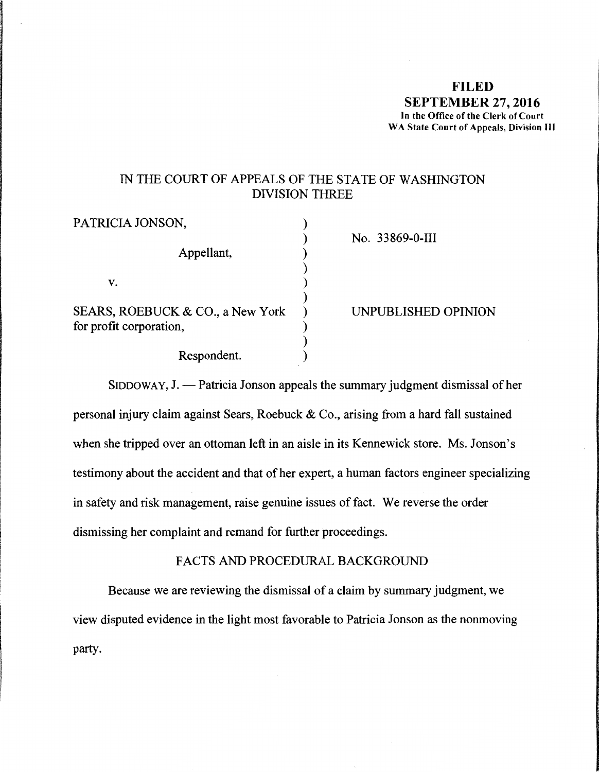### **FILED**  SEPTEMBER 27, 2016 In the Office of the Clerk of Court WA State Court of Appeals, Division III

# IN THE COURT OF APPEALS OF THE STATE OF WASHINGTON DIVISION THREE

| No. 33869-0-III     |
|---------------------|
|                     |
|                     |
|                     |
|                     |
| UNPUBLISHED OPINION |
|                     |
|                     |
|                     |
|                     |

SIDDOWAY, J. - Patricia Jonson appeals the summary judgment dismissal of her personal injury claim against Sears, Roebuck & Co., arising from a hard fall sustained when she tripped over an ottoman left in an aisle in its Kennewick store. Ms. Jonson's testimony about the accident and that of her expert, a human factors engineer specializing in safety and risk management, raise genuine issues of fact. We reverse the order dismissing her complaint and remand for further proceedings.

# FACTS AND PROCEDURAL BACKGROUND

Because we are reviewing the dismissal of a claim by summary judgment, we view disputed evidence in the light most favorable to Patricia Jonson as the nonmoving party.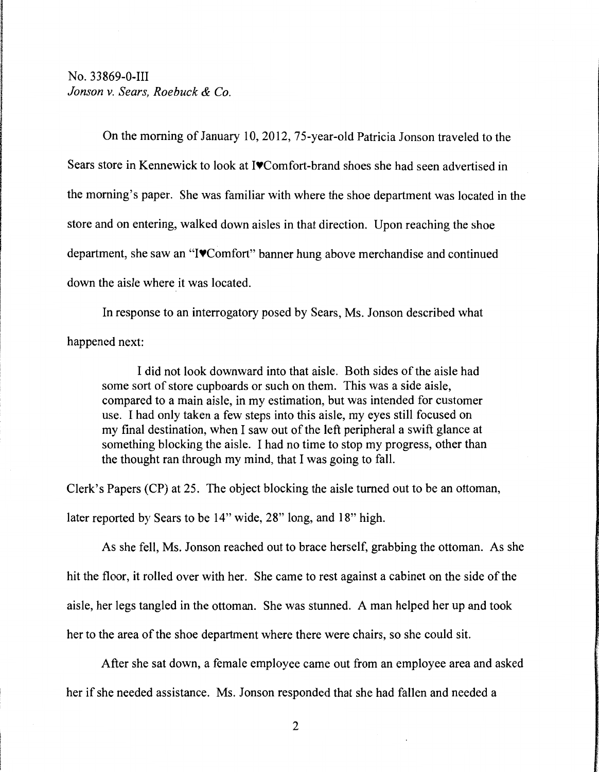On the morning of January 10, 2012, 75-year-old Patricia Jonson traveled to the Sears store in Kennewick to look at **IV**Comfort-brand shoes she had seen advertised in the morning's paper. She was familiar with where the shoe department was located in the store and on entering, walked down aisles in that direction. Upon reaching the shoe department, she saw an **"l'IComfort"** banner hung above merchandise and continued down the aisle where it was located.

In response to an interrogatory posed by Sears, Ms. Jonson described what happened next:

I did not look downward into that aisle. Both sides of the aisle had some sort of store cupboards or such on them. This was a side aisle, compared to a main aisle, in my estimation, but was intended for customer use. I had only taken a few steps into this aisle, my eyes still focused on my final destination, when I saw out of the left peripheral a swift glance at something blocking the aisle. I had no time to stop my progress, other than the thought ran through my mind, that I was going to fall.

Clerk's Papers (CP) at 25. The object blocking the aisle turned out to be an ottoman, later reported by Sears to be 14" wide, 28" long, and 18" high.

As she fell, Ms. Jonson reached out to brace herself, grabbing the ottoman. As she hit the floor, it rolled over with her. She came to rest against a cabinet on the side of the aisle, her legs tangled in the ottoman. She was stunned. A man helped her up and took her to the area of the shoe department where there were chairs, so she could sit.

After she sat down, a female employee came out from an employee area and asked her if she needed assistance. Ms. Jonson responded that she had fallen and needed a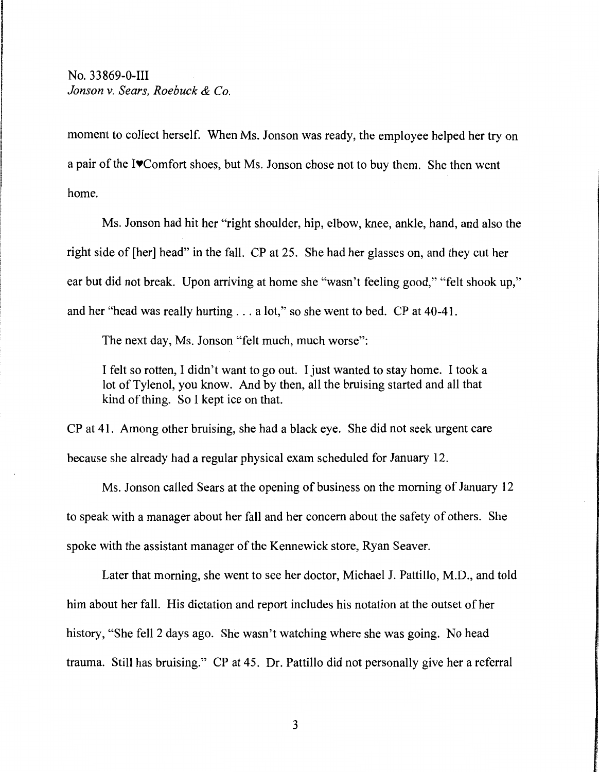moment to collect herself. When Ms. Jonson was ready, the employee helped her try on a pair of the !¥Comfort shoes, but Ms. Jonson chose not to buy them. She then went home.

Ms. Jonson had hit her "right shoulder, hip, elbow, knee, ankle, hand, and also the right side of [her] head" in the fall. CP at 25. She had her glasses on, and they cut her ear but did not break. Upon arriving at home she "wasn't feeling good," "felt shook up," and her "head was really hurting ... a lot," so she went to bed. CP at 40-41.

The next day, Ms. Jonson "felt much, much worse":

I felt so rotten, I didn't want to go out. I just wanted to stay home. I took a lot of Tylenol, you know. And by then, all the bruising started and all that kind of thing. So I kept ice on that.

CP at 41. Among other bruising, she had a black eye. She did not seek urgent care because she already had a regular physical exam scheduled for January 12.

Ms. Jonson called Sears at the opening of business on the morning of January 12 to speak with a manager about her fall and her concern about the safety of others. She spoke with the assistant manager of the Kennewick store, Ryan Seaver.

Later that morning, she went to see her doctor, Michael J. Pattillo, M.D., and told him about her fall. His dictation and report includes his notation at the outset of her history, "She fell 2 days ago. She wasn't watching where she was going. No head trauma. Still has bruising." CP at 45. Dr. Pattillo did not personally give her a referral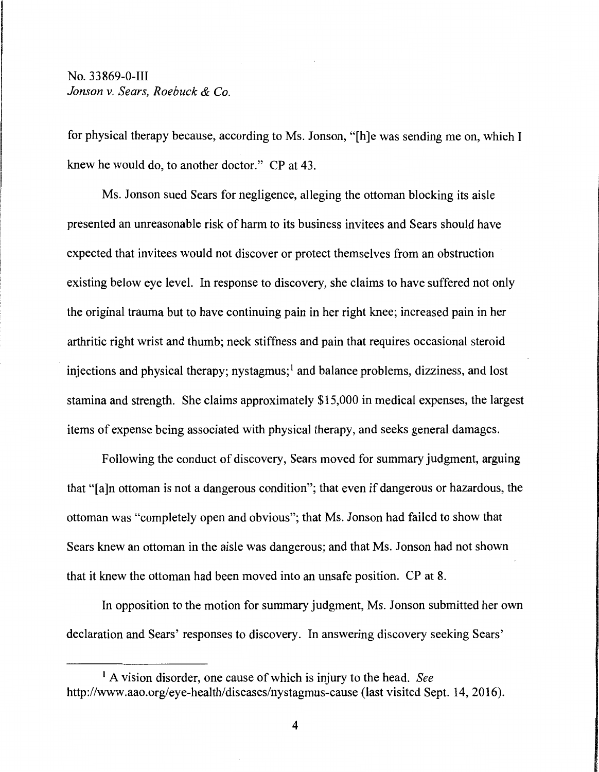for physical therapy because, according to Ms. Jonson, "[h]e was sending me on, which I knew he would do, to another doctor." CP at 43.

Ms. Jonson sued Sears for negligence, alleging the ottoman blocking its aisle presented an unreasonable risk of harm to its business invitees and Sears should have expected that invitees would not discover or protect themselves from an obstruction existing below eye level. In response to discovery, she claims to have suffered not only the original trauma but to have continuing pain in her right knee; increased pain in her arthritic right wrist and thumb; neck stiffness and pain that requires occasional steroid injections and physical therapy; nystagmus; $<sup>1</sup>$  and balance problems, dizziness, and lost</sup> stamina and strength. She claims approximately \$15,000 in medical expenses, the largest items of expense being associated with physical therapy, and seeks general damages.

Following the conduct of discovery, Sears moved for summary judgment, arguing that "[a]n ottoman is not a dangerous condition"; that even if dangerous or hazardous, the ottoman was "completely open and obvious"; that Ms. Jonson had failed to show that Sears knew an ottoman in the aisle was dangerous; and that Ms. Jonson had not shown that it knew the ottoman had been moved into an unsafe position. CP at 8.

In opposition to the motion for summary judgment, Ms. Jonson submitted her own declaration and Sears' responses to discovery. In answering discovery seeking Sears'

<sup>1</sup>A vision disorder, one cause of which is injury to the head. *See*  http://www.aao.org/eye-health/diseases/nystagmus-cause (last visited Sept. 14, 2016).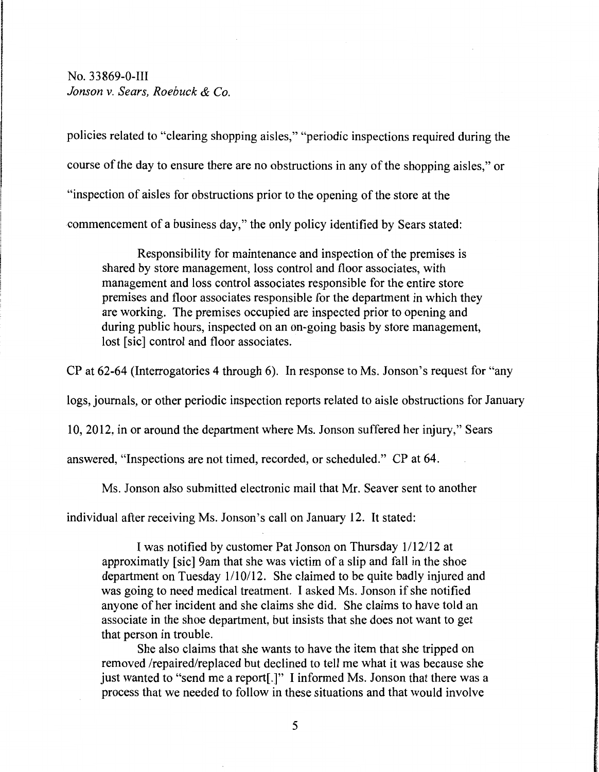policies related to "clearing shopping aisles," "periodic inspections required during the course of the day to ensure there are no obstructions in any of the shopping aisles," or "inspection of aisles for obstructions prior to the opening of the store at the commencement of a business day," the only policy identified by Sears stated:

Responsibility for maintenance and inspection of the premises is shared by store management, loss control and floor associates, with management and loss control associates responsible for the entire store premises and floor associates responsible for the department in which they are working. The premises occupied are inspected prior to opening and during public hours, inspected on an on-going basis by store management, lost [sic] control and floor associates.

CP at 62-64 (Interrogatories 4 through 6). In response to Ms. Jonson's request for "any

logs, journals, or other periodic inspection reports related to aisle obstructions for January

10, 2012, in or around the department where Ms. Jonson suffered her injury," Sears

answered, "Inspections are not timed, recorded, or scheduled." CP at 64.

Ms. Jonson also submitted electronic mail that Mr. Seaver sent to another

individual after receiving Ms. Jonson's call on January 12. It stated:

I was notified by customer Pat Jonson on Thursday 1/12/12 at approximatly [sic] 9am that she was victim of a slip and fall in the shoe department on Tuesday 1/10/12. She claimed to be quite badly injured and was going to need medical treatment. I asked Ms. Jonson if she notified anyone of her incident and she claims she did. She claims to have told an associate in the shoe department, but insists that she does not want to get that person in trouble.

She also claims that she wants to have the item that she tripped on removed /repaired/replaced but declined to tell me what it was because she just wanted to "send me a report[.]" I informed Ms. Jonson that there was a process that we needed to follow in these situations and that would involve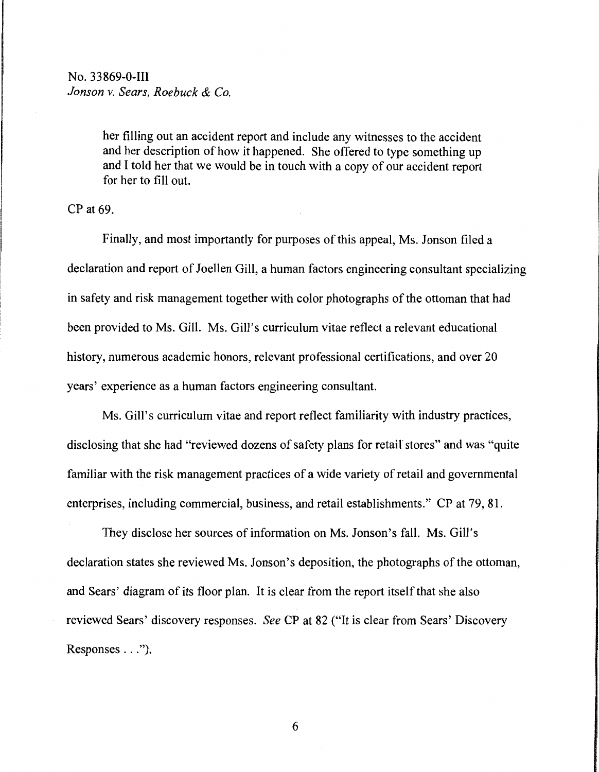her filling out an accident report and include any witnesses to the accident and her description of how it happened. She offered to type something up and I told her that we would be in touch with a copy of our accident report for her to fill out.

CP at 69.

Finally, and most importantly for purposes of this appeal, Ms. Jonson filed a declaration and report of Joellen Gill, a human factors engineering consultant specializing in safety and risk management together with color photographs of the ottoman that had been provided to Ms. Gill. Ms. Gill's curriculum vitae reflect a relevant educational history, numerous academic honors, relevant professional certifications, and over 20 years' experience as a human factors engineering consultant.

Ms. Gill's curriculum vitae and report reflect familiarity with industry practices, disclosing that she had "reviewed dozens of safety plans for retail stores" and was "quite familiar with the risk management practices of a wide variety of retail and governmental enterprises, including commercial, business, and retail establishments." CP at 79, 81.

They disclose her sources of information on Ms. Jonson's fall. Ms. Gill's declaration states she reviewed Ms. Jonson's deposition, the photographs of the ottoman, and Sears' diagram of its floor plan. It is clear from the report itself that she also reviewed Sears' discovery responses. *See* CP at 82 ("It is clear from Sears' Discovery Responses . . .").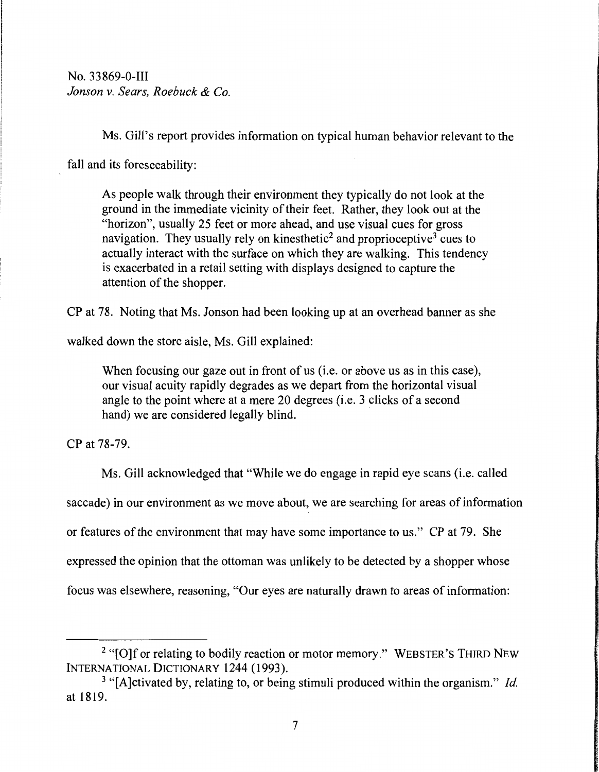Ms. Gill's report provides information on typical human behavior relevant to the

fall and its foreseeability:

As people walk through their environment they typically do not look at the ground in the immediate vicinity of their feet. Rather, they look out at the "horizon", usually 25 feet or more ahead, and use visual cues for gross navigation. They usually rely on kinesthetic<sup>2</sup> and proprioceptive<sup>3</sup> cues to actually interact with the surface on which they are walking. This tendency is exacerbated in a retail setting with displays designed to capture the attention of the shopper.

CP at 78. Noting that Ms. Jonson had been looking up at an overhead banner as she

walked down the store aisle, Ms. Gill explained:

When focusing our gaze out in front of us (i.e. or above us as in this case), our visual acuity rapidly degrades as we depart from the horizontal visual angle to the point where at a mere 20 degrees (i.e. 3 clicks of a second hand) we are considered legally blind.

CP at 78-79.

Ms. Gill acknowledged that "While we do engage in rapid eye scans (i.e. called saccade) in our environment as we move about, we are searching for areas of information or features of the environment that may have some importance to us." CP at 79. She expressed the opinion that the ottoman was unlikely to be detected by a shopper whose focus was elsewhere, reasoning, "Our eyes are naturally drawn to areas of information:

<sup>&</sup>lt;sup>2</sup> "[O]f or relating to bodily reaction or motor memory." WEBSTER'S THIRD NEW **INTERNATIONAL DICTIONARY 1244 (1993).** 

<sup>3 &</sup>quot;[A]ctivated by, relating to, or being stimuli produced within the organism." *Id.*  at 1819.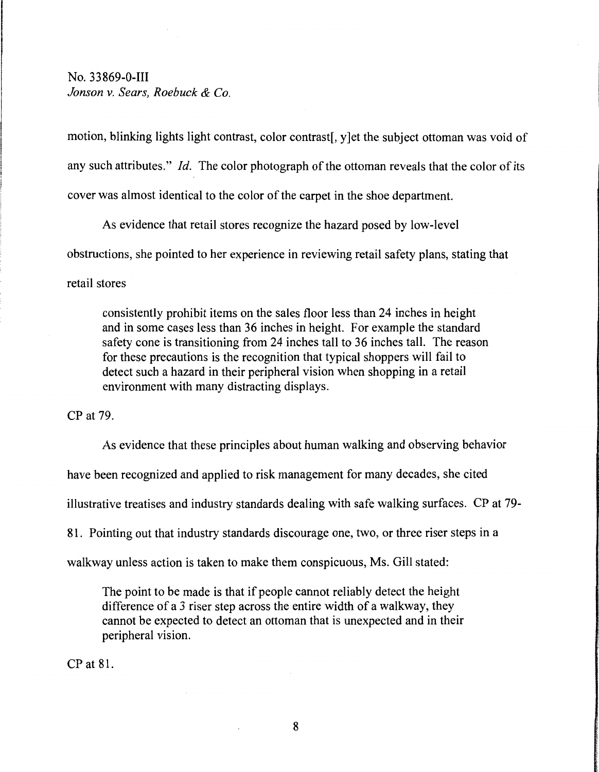motion, blinking lights light contrast, color contrast[, y ]et the subject ottoman was void of any such attributes." *Id.* The color photograph of the ottoman reveals that the color of its cover was almost identical to the color of the carpet in the shoe department.

As evidence that retail stores recognize the hazard posed by low-level obstructions, she pointed to her experience in reviewing retail safety plans, stating that

retail stores

consistently prohibit items on the sales floor less than 24 inches in height and in some cases less than 36 inches in height. For example the standard safety cone is transitioning from 24 inches tall to 36 inches tall. The reason for these precautions is the recognition that typical shoppers will fail to detect such a hazard in their peripheral vision when shopping in a retail environment with many distracting displays.

CP at 79.

As evidence that these principles about human walking and observing behavior

have been recognized and applied to risk management for many decades, she cited

illustrative treatises and industry standards dealing with safe walking surfaces. CP at 79-

81. Pointing out that industry standards discourage one, two, or three riser steps in a

walkway unless action is taken to make them conspicuous, Ms. Gill stated:

The point to be made is that if people cannot reliably detect the height difference of a 3 riser step across the entire width of a walkway, they cannot be expected to detect an ottoman that is unexpected and in their peripheral vision.

CP at 81.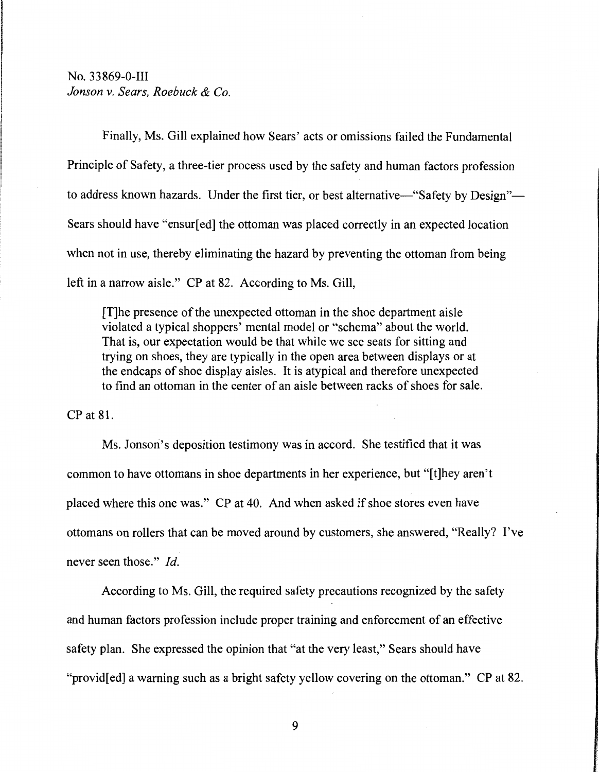Finally, Ms. Gill explained how Sears' acts or omissions failed the Fundamental Principle of Safety, a three-tier process used by the safety and human factors profession to address known hazards. Under the first tier, or best alternative—"Safety by Design"— Sears should have "ensur[ed] the ottoman was placed correctly in an expected location when not in use, thereby eliminating the hazard by preventing the ottoman from being left in a narrow aisle." CP at 82. According to Ms. Gill,

[T]he presence of the unexpected ottoman in the shoe department aisle violated a typical shoppers' mental model or "schema" about the world. That is, our expectation would be that while we see seats for sitting and trying on shoes, they are typically in the open area between displays or at the endcaps of shoe display aisles. It is atypical and therefore unexpected to find an ottoman in the center of an aisle between racks of shoes for sale.

CP at 81.

Ms. Jonson's deposition testimony was in accord. She testified that it was common to have ottomans in shoe departments in her experience, but "[t]hey aren't placed where this one was." CP at 40. And when asked if shoe stores even have ottomans on rollers that can be moved around by customers, she answered, "Really? I've never seen those." *Id.* 

According to Ms. Gill, the required safety precautions recognized by the safety and human factors profession include proper training and enforcement of an effective safety plan. She expressed the opinion that "at the very least," Sears should have "provid[ed] a warning such as a bright safety yellow covering on the ottoman." CP at 82.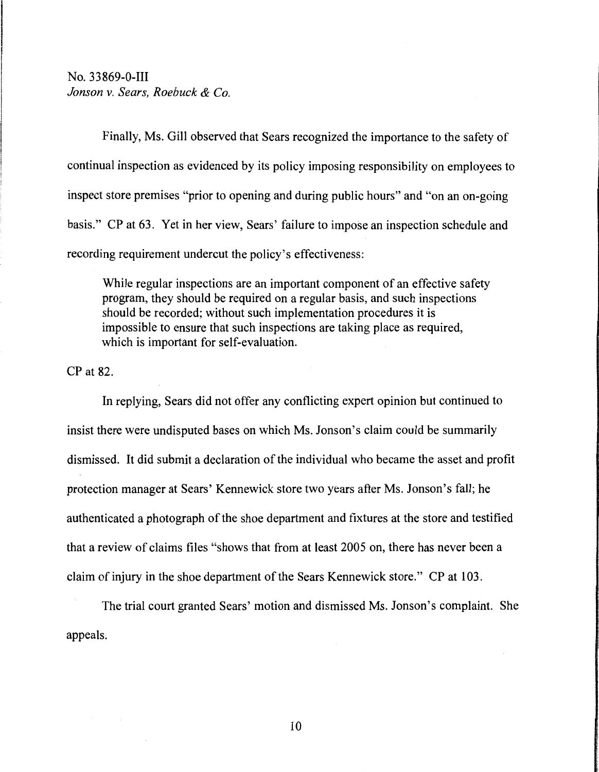Finally, Ms. Gill observed that Sears recognized the importance to the safety of continual inspection as evidenced by its policy imposing responsibility on employees to inspect store premises "prior to opening and during public hours" and "on an on-going basis." CP at 63. Yet in her view, Sears' failure to impose an inspection schedule and recording requirement undercut the policy's effectiveness:

While regular inspections are an important component of an effective safety program, they should be required on a regular basis, and such inspections should be recorded; without such implementation procedures it is impossible to ensure that such inspections are taking place as required, which is important for self-evaluation.

CP at 82.

In replying, Sears did not offer any conflicting expert opinion but continued to insist there were undisputed bases on which Ms. Jonson's claim could be summarily dismissed. It did submit a declaration of the individual who became the asset and profit protection manager at Sears' Kennewick store two years after Ms. Jonson's fall; he authenticated a photograph of the shoe department and fixtures at the store and testified that a review of claims files "shows that from at least 2005 on, there has never been a claim of injury in the shoe department of the Sears Kennewick store." CP at 103.

The trial court granted Sears' motion and dismissed Ms. Jonson's complaint. She appeals.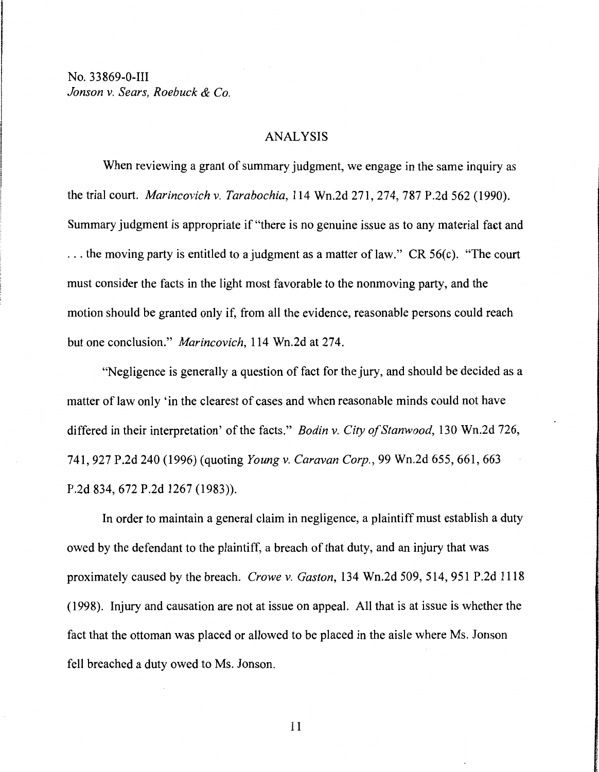#### ANALYSIS

When reviewing a grant of summary judgment, we engage in the same inquiry as the trial court. *Marincovich v. Tarabochia,* 114 Wn.2d 271, 274, 787 P.2d 562 (1990). Summary judgment is appropriate if "there is no genuine issue as to any material fact and ... the moving party is entitled to a judgment as a matter of law." CR 56(c). "The court must consider the facts in the light most favorable to the nonmoving party, and the motion should be granted only if, from all the evidence, reasonable persons could reach but one conclusion." *Marincovich,* 114 Wn.2d at 274.

"Negligence is generally a question of fact for the jury, and should be decided as a matter of law only 'in the clearest of cases and when reasonable minds could not have differed in their interpretation' of the facts." *Bodin v. City of Stanwood,* 130 Wn.2d 726, 741, 927 P.2d 240 (1996) (quoting *Young v. Caravan Corp.,* 99 Wn.2d 655, 661, 663 P.2d 834, 672 P.2d 1267 (1983)).

In order to maintain a general claim in negligence, a plaintiff must establish a duty owed by the defendant to the plaintiff, a breach of that duty, and an injury that was proximately caused by the breach. *Crowe v. Gaston*, 134 Wn.2d 509, 514, 951 P.2d 1118 (1998). Injury and causation are not at issue on appeal. All that is at issue is whether the fact that the ottoman was placed or allowed to be placed in the aisle where Ms. Jonson fell breached a duty owed to Ms. Jonson.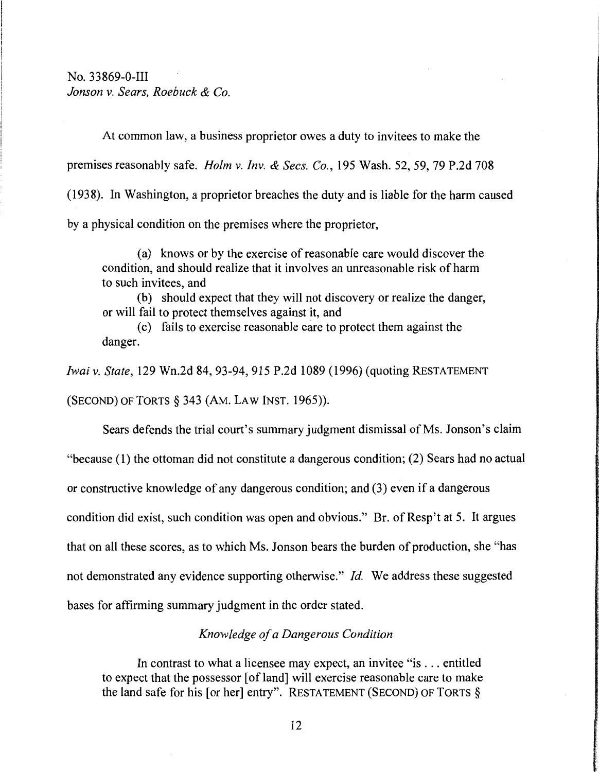At common law, a business proprietor owes a duty to invitees to make the premises reasonably safe. *Holm v. Inv. & Secs. Co.,* 195 Wash. 52, 59, 79 P.2d 708 (1938). In Washington, a proprietor breaches the duty and is liable for the harm caused by a physical condition on the premises where the proprietor,

(a) knows or by the exercise of reasonable care would discover the condition, and should realize that it involves an unreasonable risk of harm to such invitees, and

(b) should expect that they will not discovery or realize the danger, or will fail to protect themselves against it, and

( **C) fails to exercise reasonable care to protect them against the**  danger.

*Iwai v. State,* 129 Wn.2d 84, 93-94, 915 P.2d 1089 (1996) (quoting RESTATEMENT (SECOND) OF TORTS§ 343 (AM. LAW INST. 1965)).

Sears defends the trial court's summary judgment dismissal of Ms. Jonson's claim "because (1) the ottoman did not constitute a dangerous condition; (2) Sears had no actual or constructive knowledge of any dangerous condition; and (3) even if a dangerous condition did exist, such condition was open and obvious." Br. of Resp't at 5. It argues that on all these scores, as to which Ms. Jonson bears the burden of production, she "has not demonstrated any evidence supporting otherwise." *Id.* We address these suggested bases for affirming summary judgment in the order stated.

### *Knowledge of a Dangerous Condition*

In contrast to what a licensee may expect, an invitee "is ... entitled to expect that the possessor [ of land] will exercise reasonable care to make the land safe for his [or her] entry". RESTATEMENT (SECOND) OF TORTS§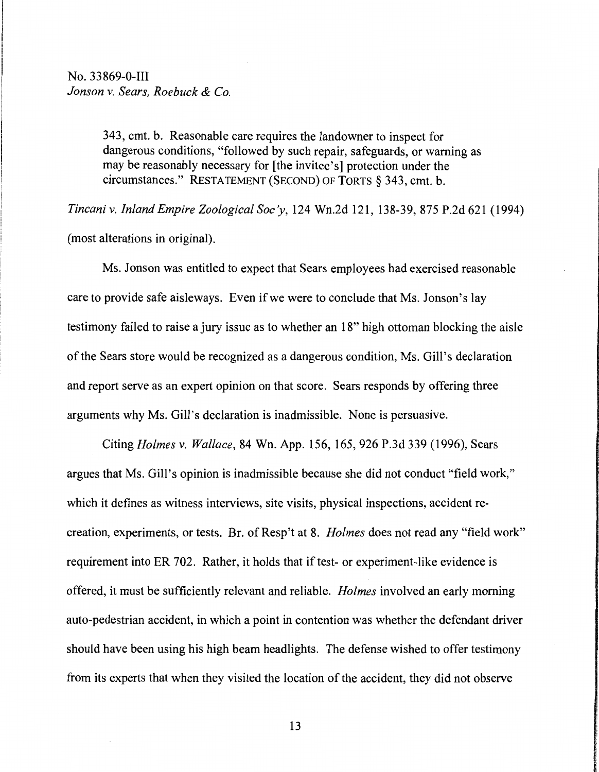343, cmt. b. Reasonable care requires the landowner to inspect for dangerous conditions, "followed by such repair, safeguards, or warning as may be reasonably necessary for [the invitee's] protection under the circumstances." RESTATEMENT(SECOND)OFTORTS § 343, cmt. b.

*Tincani v. Inland Empire Zoological Soc y,* 124 Wn.2d 121, 138-39, 875 P.2d 621 (1994) (most alterations in original).

Ms. Jonson was entitled to expect that Sears employees had exercised reasonable care to provide safe aisleways. Even if we were to conclude that Ms. Jonson's lay testimony failed to raise a jury issue as to whether an 18" high ottoman blocking the aisle of the Sears store would be recognized as a dangerous condition, Ms. Gill's declaration and report serve as an expert opinion on that score. Sears responds by offering three arguments why Ms. Gill's declaration is inadmissible. None is persuasive.

Citing *Holmes v. Wallace,* 84 Wn. App. 156, 165, 926 P.3d 339 (1996), Sears argues that Ms. Gill's opinion is inadmissible because she did not conduct "field work," which it defines as witness interviews, site visits, physical inspections, accident recreation, experiments, or tests. Br. of Resp't at 8. *Holmes* does not read any "field work" requirement into ER 702. Rather, it holds that if test- or experiment-like evidence is offered, it must be sufficiently relevant and reliable. *Holmes* involved an early morning auto-pedestrian accident, in which a point in contention was whether the defendant driver should have been using his high beam headlights. The defense wished to offer testimony from its experts that when they visited the location of the accident, they did not observe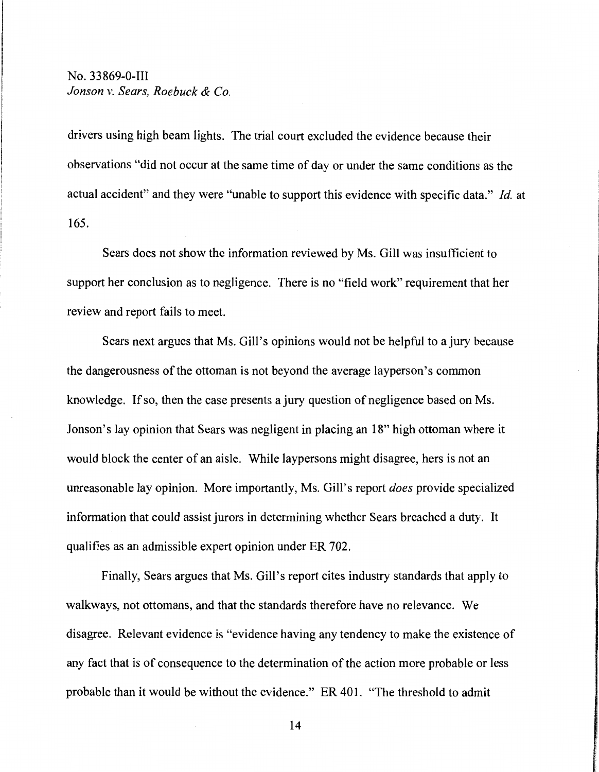drivers using high beam lights. The trial court excluded the evidence because their observations "did not occur at the same time of day or under the same conditions as the actual accident" and they were "unable to support this evidence with specific data." *Id.* at 165.

Sears does not show the information reviewed by Ms. Gill was insufficient to support her conclusion as to negligence. There is no "field work" requirement that her review and report fails to meet.

Sears next argues that Ms. Gill's opinions would not be helpful to a jury because the dangerousness of the ottoman is not beyond the average layperson's common knowledge. If so, then the case presents a jury question of negligence based on Ms. Jonson's lay opinion that Sears was negligent in placing an 18" high ottoman where it would block the center of an aisle. While laypersons might disagree, hers is not an unreasonable lay opinion. More importantly, Ms. Gill's report *does* provide specialized information that could assist jurors in determining whether Sears breached a duty. It qualifies as an admissible expert opinion under ER 702.

Finally, Sears argues that Ms. Gill's report cites industry standards that apply to walkways, not ottomans, and that the standards therefore have no relevance. We disagree. Relevant evidence is "evidence having any tendency to make the existence of any fact that is of consequence to the determination of the action more probable or less probable than it would be without the evidence." ER 401. "The threshold to admit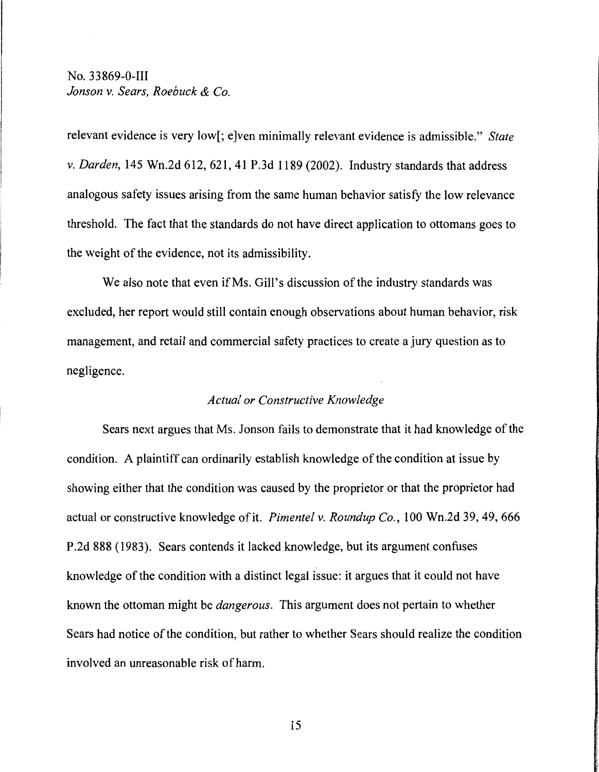relevant evidence is very low[; e]ven minimally relevant evidence is admissible." *State v. Darden*, 145 Wn.2d 612, 621, 41 P.3d 1189 (2002). Industry standards that address analogous safety issues arising from the same human behavior satisfy the low relevance threshold. The fact that the standards do not have direct application to ottomans goes to the weight of the evidence, not its admissibility.

We also note that even if Ms. Gill's discussion of the industry standards was excluded, her report would still contain enough observations about human behavior, risk management, and retail and commercial safety practices to create a jury question as to negligence.

#### *Actual or Constructive Knowledge*

Sears next argues that Ms. Jonson fails to demonstrate that it had knowledge of the condition. A plaintiff can ordinarily establish knowledge of the condition at issue by showing either that the condition was caused by the proprietor or that the proprietor had actual or constructive knowledge of it. *Pimentel v. Roundup Co.,* 100 Wn.2d 39, 49,666 P.2d 888 (1983). Sears contends it lacked knowledge, but its argument confuses knowledge of the condition with a distinct legal issue: it argues that it could not have known the ottoman might be *dangerous.* This argument does not pertain to whether Sears had notice of the condition, but rather to whether Sears should realize the condition involved an unreasonable risk of harm.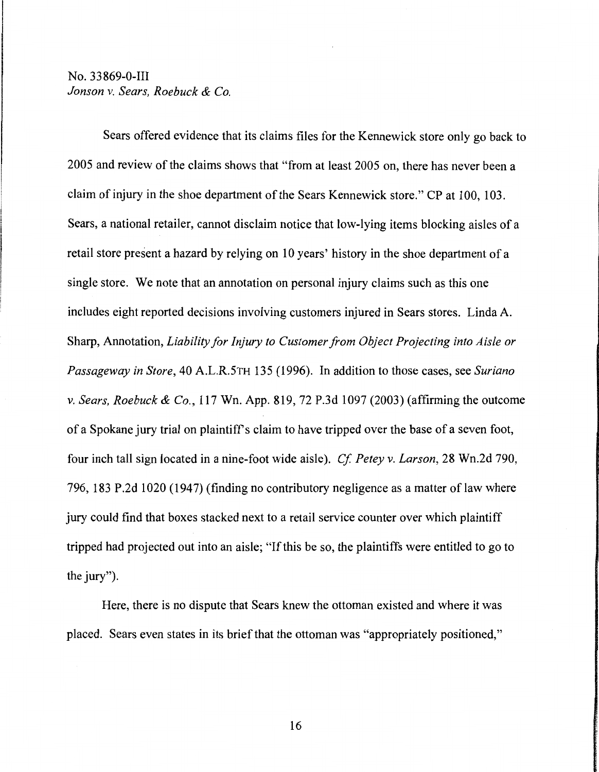Sears offered evidence that its claims files for the Kennewick store only go back to 2005 and review of the claims shows that "from at least 2005 on, there has never been a claim of injury in the shoe department of the Sears Kennewick store." CP at 100, 103. Sears, a national retailer, cannot disclaim notice that low-lying items blocking aisles of a retail store present a hazard by relying on 10 years' history in the shoe department of a single store. We note that an annotation on personal injury claims such as this one includes eight reported decisions involving customers injured in Sears stores. Linda A. Sharp, Annotation, *Liability for Injury to Customer from Object Projecting into Aisle or Passageway in Store,* 40 A.L.R.5TH 135 (1996). In addition to those cases, see *Suriano v. Sears, Roebuck & Co.,* 117 Wn. App. 819, 72 P.3d 1097 (2003) (affirming the outcome of a Spokane jury trial on plaintiffs claim to have tripped over the base of a seven foot, four inch tall sign located in a nine-foot wide aisle). *Cf Petey v. Larson,* 28 Wn.2d 790, 796, 183 P.2d 1020 (1947) (finding no contributory negligence as a matter of law where jury could find that boxes stacked next to a retail service counter over which plaintiff tripped had projected out into an aisle; "If this be so, the plaintiffs were entitled to go to the jury").

Here, there is no dispute that Sears knew the ottoman existed and where it was placed. Sears even states in its brief that the ottoman was "appropriately positioned,"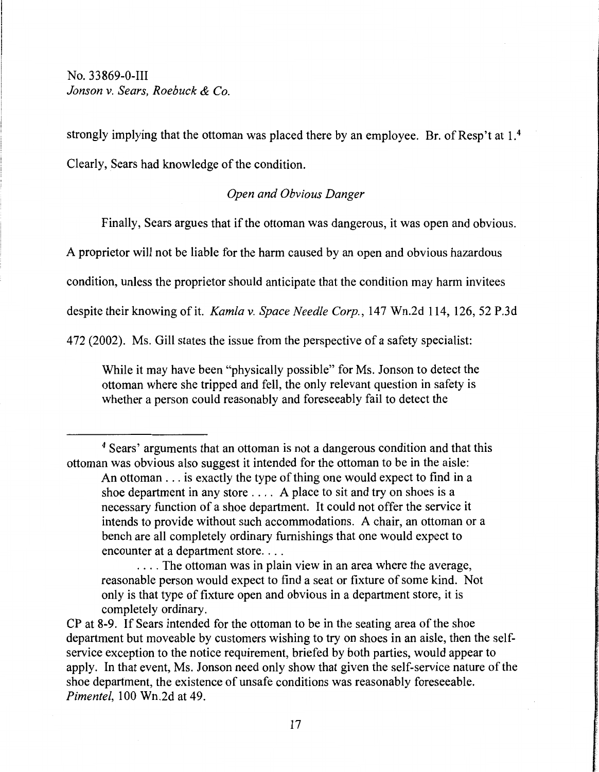strongly implying that the ottoman was placed there by an employee. Br. of Resp't at  $1<sup>4</sup>$ Clearly, Sears had knowledge of the condition.

#### *Open and Obvious Danger*

Finally, Sears argues that if the ottoman was dangerous, it was open and obvious.

A proprietor will not be liable for the harm caused by an open and obvious hazardous

condition, unless the proprietor should anticipate that the condition may harm invitees

despite their knowing of it. *Kam/av. Space Needle Corp.,* 147 Wn.2d 114, 126, 52 P.3d

472 (2002). Ms. Gill states the issue from the perspective of a safety specialist:

While it may have been "physically possible" for Ms. Jonson to detect the ottoman where she tripped and fell, the only relevant question in safety is whether a person could reasonably and foreseeably fail to detect the

<sup>4</sup> Sears' arguments that an ottoman is not a dangerous condition and that this ottoman was obvious also suggest it intended for the ottoman to be in the aisle:

An ottoman ... is exactly the type of thing one would expect to find in a shoe department in any store . . . . A place to sit and try on shoes is a necessary function of a shoe department. It could not offer the service it intends to provide without such accommodations. A chair, an ottoman or a bench are all completely ordinary furnishings that one would expect to encounter at a department store....

<sup>. . . .</sup> The ottoman was in plain view in an area where the average, reasonable person would expect to find a seat or fixture of some kind. Not only is that type of fixture open and obvious in a department store, it is completely ordinary.

CP at 8-9. If Sears intended for the ottoman to be in the seating area of the shoe department but moveable by customers wishing to try on shoes in an aisle, then the selfservice exception to the notice requirement, briefed by both parties, would appear to apply. In that event, Ms. Jonson need only show that given the self-service nature of the shoe department, the existence of unsafe conditions was reasonably foreseeable. *Pimentel,* 100 Wn.2d at 49.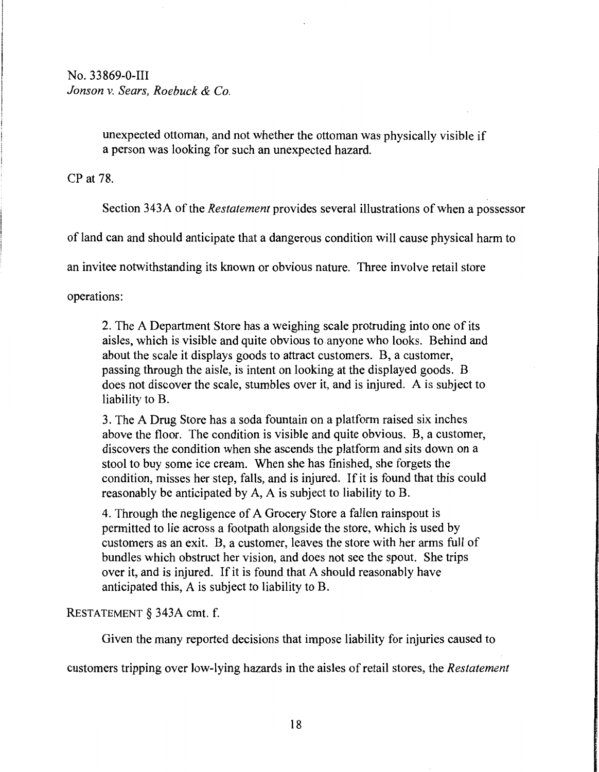> unexpected ottoman, and not whether the ottoman was physically visible if a person was looking for such an unexpected hazard.

CP at 78.

Section 343A of the *Restatement* provides several illustrations of when a possessor

of land can and should anticipate that a dangerous condition will cause physical harm to

an invitee notwithstanding its known or obvious nature. Three involve retail store

operations:

2. The A Department Store has a weighing scale protruding into one of its aisles, which is visible and quite obvious to anyone who looks. Behind and about the scale it displays goods to attract customers. B, a customer, passing through the aisle, is intent on looking at the displayed goods. B does not discover the scale, stumbles over it, and is injured. A is subject to liability to B.

3. The A Drug Store has a soda fountain on a platform raised six inches above the floor. The condition is visible and quite obvious. B, a customer, discovers the condition when she ascends the platform and sits down on a stool to buy some ice cream. When she has finished, she forgets the condition, misses her step, falls, and is injured. If it is found that this could reasonably be anticipated by A, A is subject to liability to B.

4. Through the negligence of A Grocery Store a fallen rainspout is permitted to lie across a footpath alongside the store, which is used by customers as an exit. B, a customer, leaves the store with her arms full of bundles which obstruct her vision, and does not see the spout. She trips over it, and is injured. If it is found that A should reasonably have anticipated this, A is subject to liability to B.

RESTATEMENT § 343A cmt. f.

Given the many reported decisions that impose liability for injuries caused to

customers tripping over low-lying hazards in the aisles of retail stores, the *Restatement*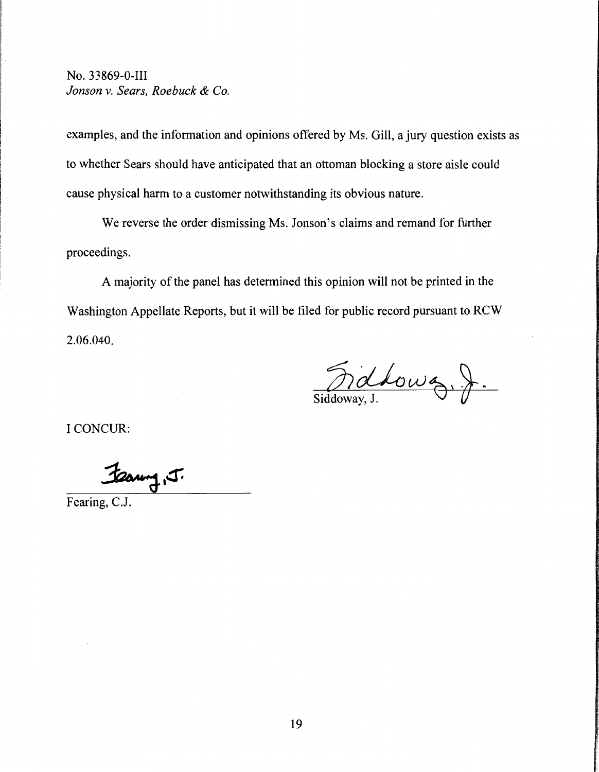examples, and the information and opinions offered by Ms. Gill, a jury question exists as to whether Sears should have anticipated that an ottoman blocking a store aisle could cause physical harm to a customer notwithstanding its obvious nature.

We reverse the order dismissing Ms. Jonson's claims and remand for further proceedings.

A majority of the panel has determined this opinion will not be printed in the Washington Appellate Reports, but it will be filed for public record pursuant to RCW 2.06.040.

Siddoway, J.

I CONCUR:

*Jeanny*, J.

Fearing, C.J.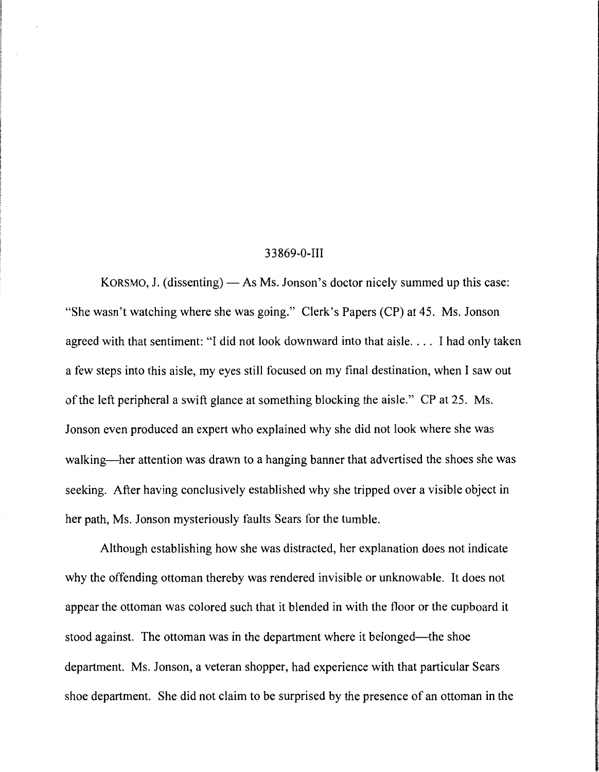#### 33869-0-111

KORSMO, J. (dissenting)  $-$  As Ms. Jonson's doctor nicely summed up this case: "She wasn't watching where she was going." Clerk's Papers (CP) at 45. Ms. Jonson agreed with that sentiment: "I did not look downward into that aisle. . . . I had only taken a few steps into this aisle, my eyes still focused on my final destination, when I saw out of the left peripheral a swift glance at something blocking the aisle." CP at 25. Ms. Jonson even produced an expert who explained why she did not look where she was walking—her attention was drawn to a hanging banner that advertised the shoes she was seeking. After having conclusively established why she tripped over a visible object in her path, Ms. Jonson mysteriously faults Sears for the tumble.

Although establishing how she was distracted, her explanation does not indicate why the offending ottoman thereby was rendered invisible or unknowable. It does not appear the ottoman was colored such that it blended in with the floor or the cupboard it stood against. The ottoman was in the department where it belonged—the shoe department. Ms. Jonson, a veteran shopper, had experience with that particular Sears shoe department. She did not claim to be surprised by the presence of an ottoman in the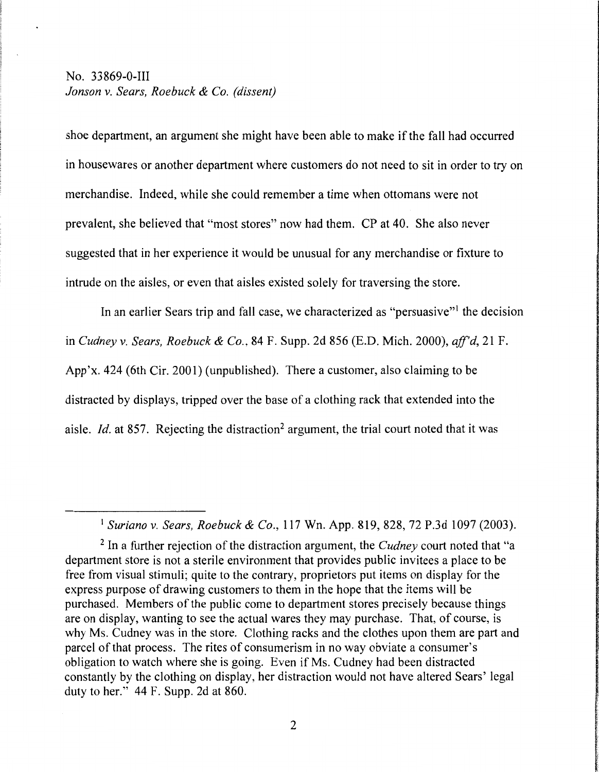# No. 33869-0-III *Jonson* v. *Sears, Roebuck & Co. {dissent)*

shoe department, an argument she might have been able to make if the fall had occurred in housewares or another department where customers do not need to sit in order to try on merchandise. Indeed, while she could remember a time when ottomans were not prevalent, she believed that "most stores" now had them. CP at 40. She also never suggested that in her experience it would be unusual for any merchandise or fixture to intrude on the aisles, or even that aisles existed solely for traversing the store.

In an earlier Sears trip and fall case, we characterized as "persuasive"<sup>1</sup> the decision in *Cudney* v. *Sears, Roebuck & Co.,* 84 F. Supp. 2d 856 (E.D. Mich. 2000), *ajf'd,* 21 F. App'x. 424 (6th Cir. 2001) (unpublished). There a customer, also claiming to be distracted by displays, tripped over the base of a clothing rack that extended into the aisle. *Id.* at 857. Rejecting the distraction<sup>2</sup> argument, the trial court noted that it was

**International Constitution Constitution** 

<sup>1</sup>*Suriano* v. *Sears, Roebuck & Co.,* 117 Wn. App. 819, 828, 72 P.3d 1097 (2003).

<sup>2</sup> In a further rejection of the distraction argument, the *Cudney* court noted that "a department store is not a sterile environment that provides public invitees a place to be free from visual stimuli; quite to the contrary, proprietors put items on display for the express purpose of drawing customers to them in the hope that the items will be purchased. Members of the public come to department stores precisely because things are on display, wanting to see the actual wares they may purchase. That, of course, is why Ms. Cudney was in the store. Clothing racks and the clothes upon them are part and parcel of that process. The rites of consumerism in no way obviate a consumer's obligation to watch where she is going. Even if Ms. Cudney had been distracted constantly by the clothing on display, her distraction would not have altered Sears' legal duty to her." 44 F. Supp. 2d at 860.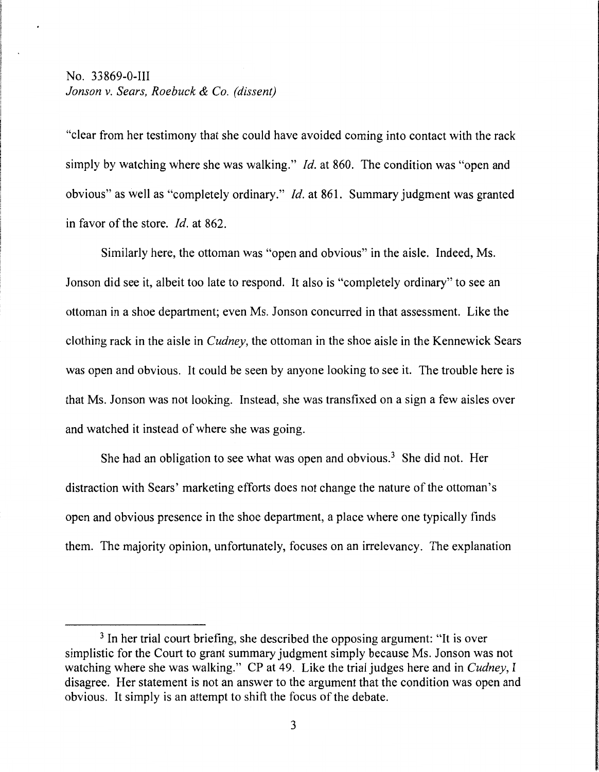"clear from her testimony that she could have avoided coming into contact with the rack simply by watching where she was walking." *Id.* at 860. The condition was "open and obvious" as well as "completely ordinary." *Id.* at 861. Summary judgment was granted in favor of the store. *Id.* at 862.

Similarly here, the ottoman was "open and obvious" in the aisle. Indeed, Ms. Jonson did see it, albeit too late to respond. It also is "completely ordinary" to see an ottoman in a shoe department; even Ms. Jonson concurred in that assessment. Like the clothing rack in the aisle in *Cudney,* the ottoman in the shoe aisle in the Kennewick Sears was open and obvious. It could be seen by anyone looking to see it. The trouble here is that Ms. Jonson was not looking. Instead, she was transfixed on a sign a few aisles over and watched it instead of where she was going.

She had an obligation to see what was open and obvious.<sup>3</sup> She did not. Her distraction with Sears' marketing efforts does not change the nature of the ottoman's open and obvious presence in the shoe department, a place where one typically finds them. The majority opinion, unfortunately, focuses on an irrelevancy. The explanation

<sup>&</sup>lt;sup>3</sup> In her trial court briefing, she described the opposing argument: "It is over simplistic for the Court to grant summary judgment simply because Ms. Jonson was not watching where she was walking." CP at 49. Like the trial judges here and in *Cudney,* I disagree. Her statement is not an answer to the argument that the condition was open and obvious. It simply is an attempt to shift the focus of the debate.